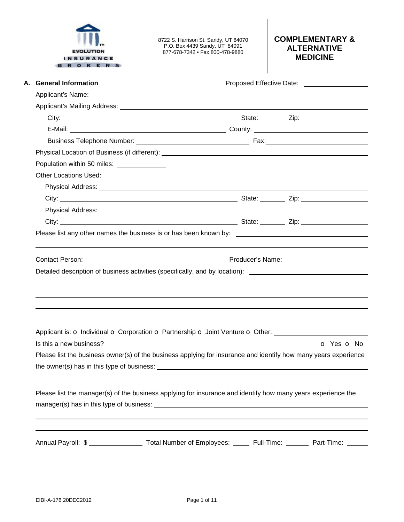| INSURAN<br>OKERS                                                         | 8722 S. Harrison St. Sandy, UT 84070<br>P.O. Box 4439 Sandy, UT 84091<br>877-678-7342 • Fax 800-478-9880                                                                                         | <b>COMPLEMENTARY &amp;</b><br><b>ALTERNATIVE</b><br><b>MEDICINE</b>                                  |  |  |  |
|--------------------------------------------------------------------------|--------------------------------------------------------------------------------------------------------------------------------------------------------------------------------------------------|------------------------------------------------------------------------------------------------------|--|--|--|
| A. General Information                                                   |                                                                                                                                                                                                  | Proposed Effective Date: 2008. 2009. 2012. 2014. 2015. 2016. 2017. 2018. 2019. 2017. 2018. 2019. 201 |  |  |  |
|                                                                          |                                                                                                                                                                                                  |                                                                                                      |  |  |  |
|                                                                          |                                                                                                                                                                                                  |                                                                                                      |  |  |  |
|                                                                          |                                                                                                                                                                                                  |                                                                                                      |  |  |  |
|                                                                          |                                                                                                                                                                                                  |                                                                                                      |  |  |  |
|                                                                          |                                                                                                                                                                                                  |                                                                                                      |  |  |  |
|                                                                          |                                                                                                                                                                                                  |                                                                                                      |  |  |  |
| Population within 50 miles: <u>________________</u>                      |                                                                                                                                                                                                  |                                                                                                      |  |  |  |
| <b>Other Locations Used:</b>                                             |                                                                                                                                                                                                  |                                                                                                      |  |  |  |
|                                                                          |                                                                                                                                                                                                  |                                                                                                      |  |  |  |
|                                                                          |                                                                                                                                                                                                  |                                                                                                      |  |  |  |
|                                                                          |                                                                                                                                                                                                  |                                                                                                      |  |  |  |
|                                                                          |                                                                                                                                                                                                  |                                                                                                      |  |  |  |
| Producer's Name: <b>Example 2018</b> Producer's Name:<br>Contact Person: |                                                                                                                                                                                                  |                                                                                                      |  |  |  |
|                                                                          |                                                                                                                                                                                                  |                                                                                                      |  |  |  |
|                                                                          | Detailed description of business activities (specifically, and by location): ________________________________                                                                                    |                                                                                                      |  |  |  |
| Is this a new business?                                                  | Applicant is: o Individual o Corporation o Partnership o Joint Venture o Other: ____________________                                                                                             |                                                                                                      |  |  |  |
|                                                                          |                                                                                                                                                                                                  |                                                                                                      |  |  |  |
|                                                                          | Please list the business owner(s) of the business applying for insurance and identify how many years experience                                                                                  |                                                                                                      |  |  |  |
|                                                                          | ,我们也不会有什么?""我们的人,我们也不会有什么?""我们的人,我们也不会有什么?""我们的人,我们也不会有什么?""我们的人,我们也不会有什么?""我们的人<br>Please list the manager(s) of the business applying for insurance and identify how many years experience the | O Yes O No                                                                                           |  |  |  |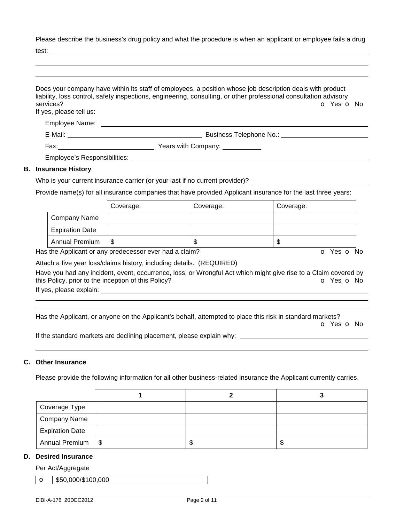Please describe the business's drug policy and what the procedure is when an applicant or employee fails a drug

test:

| services?<br>If yes, please tell us: | Does your company have within its staff of employees, a position whose job description deals with product<br>liability, loss control, safety inspections, engineering, consulting, or other professional consultation advisory<br>O Yes O No |
|--------------------------------------|----------------------------------------------------------------------------------------------------------------------------------------------------------------------------------------------------------------------------------------------|
|                                      |                                                                                                                                                                                                                                              |
|                                      |                                                                                                                                                                                                                                              |
|                                      | Fax: <u>Case Company:</u> Years with Company:                                                                                                                                                                                                |
|                                      | Employee's Responsibilities: Note that the set of the set of the set of the set of the set of the set of the set of the set of the set of the set of the set of the set of the set of the set of the set of the set of the set               |
| <b>B.</b> Insurance History          |                                                                                                                                                                                                                                              |

# Who is your current insurance carrier (or your last if no current provider)? \_\_\_\_\_\_\_\_

Provide name(s) for all insurance companies that have provided Applicant insurance for the last three years:

|                        | Coverage: | Coverage: | Coverage: |
|------------------------|-----------|-----------|-----------|
| Company Name           |           |           |           |
| <b>Expiration Date</b> |           |           |           |
| <b>Annual Premium</b>  | S         | ጥ<br>۰D   | D         |

Has the Applicant or any predecessor ever had a claim? The Contract of Monocomusic Contract of No. The Contract O

Attach a five year loss/claims history, including details. (REQUIRED)

Have you had any incident, event, occurrence, loss, or Wrongful Act which might give rise to a Claim covered by this Policy, prior to the inception of this Policy? **o** Yes **o** No

If yes, please explain:

 

Has the Applicant, or anyone on the Applicant's behalf, attempted to place this risk in standard markets?

o Yes o No

If the standard markets are declining placement, please explain why:

### **C. Other Insurance**

Please provide the following information for all other business-related insurance the Applicant currently carries.

| Coverage Type          |    |    |
|------------------------|----|----|
| <b>Company Name</b>    |    |    |
| <b>Expiration Date</b> |    |    |
| Annual Premium   \$    | ۰D | ъD |

### **D. Desired Insurance**

Per Act/Aggregate

 $\bullet$  \$50,000/\$100,000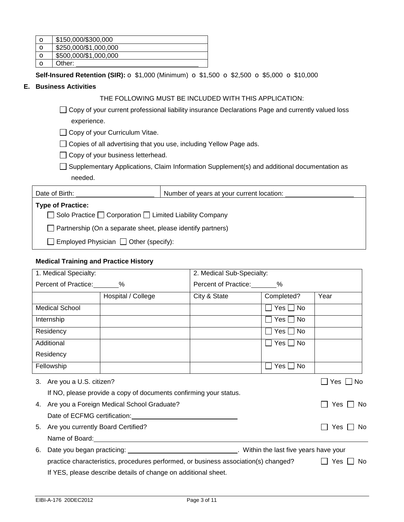| $\circ$ | \$150,000/\$300,000   |
|---------|-----------------------|
| $\circ$ | \$250,000/\$1,000,000 |
| $\circ$ | \$500,000/\$1,000,000 |
|         | Other:                |

**Self-Insured Retention (SIR):** o \$1,000 (Minimum) o \$1,500 o \$2,500 o \$5,000 o \$10,000

# **E. Business Activities**

# THE FOLLOWING MUST BE INCLUDED WITH THIS APPLICATION:

□ Copy of your current professional liability insurance Declarations Page and currently valued loss experience.

□ Copy of your Curriculum Vitae.

□ Copies of all advertising that you use, including Yellow Page ads.

 $\Box$  Copy of your business letterhead.

□ Supplementary Applications, Claim Information Supplement(s) and additional documentation as needed.

| Date of Birth:                                                           | Number of years at your current location: |
|--------------------------------------------------------------------------|-------------------------------------------|
| <b>Type of Practice:</b>                                                 |                                           |
| $\Box$ Solo Practice $\Box$ Corporation $\Box$ Limited Liability Company |                                           |
| Partnership (On a separate sheet, please identify partners)              |                                           |
| $\Box$ Employed Physician $\Box$ Other (specify):                        |                                           |

# **Medical Training and Practice History**

| 1. Medical Specialty:      |                                                                                      | 2. Medical Sub-Specialty: |                            |               |
|----------------------------|--------------------------------------------------------------------------------------|---------------------------|----------------------------|---------------|
| Percent of Practice: 8     |                                                                                      | Percent of Practice: 8    |                            |               |
|                            | Hospital / College                                                                   | City & State              | Completed?                 | Year          |
| <b>Medical School</b>      |                                                                                      |                           | $\square$ Yes $\square$ No |               |
| Internship                 |                                                                                      |                           | $\Box$ Yes $\Box$ No       |               |
| Residency                  |                                                                                      |                           | ̄ Yes 「<br>□ No            |               |
| Additional                 |                                                                                      |                           | $\Box$ Yes $\Box$ No       |               |
| Residency                  |                                                                                      |                           |                            |               |
| Fellowship                 |                                                                                      |                           | $Yes \Box No$              |               |
| 3. Are you a U.S. citizen? |                                                                                      |                           |                            | Yes $\Box$ No |
|                            | If NO, please provide a copy of documents confirming your status.                    |                           |                            |               |
|                            | 4. Are you a Foreign Medical School Graduate?                                        |                           |                            | Yes<br>No.    |
|                            | Date of ECFMG certification: Date of ECFMG certification:                            |                           |                            |               |
| 5.                         | Are you currently Board Certified?                                                   |                           |                            | Yes.<br>No.   |
|                            | Name of Board: Name of Board:                                                        |                           |                            |               |
| 6.                         | Date you began practicing: University of Millet Within the last five years have your |                           |                            |               |
|                            | practice characteristics, procedures performed, or business association(s) changed?  |                           |                            | Yes II<br>No. |
|                            | If YES, please describe details of change on additional sheet.                       |                           |                            |               |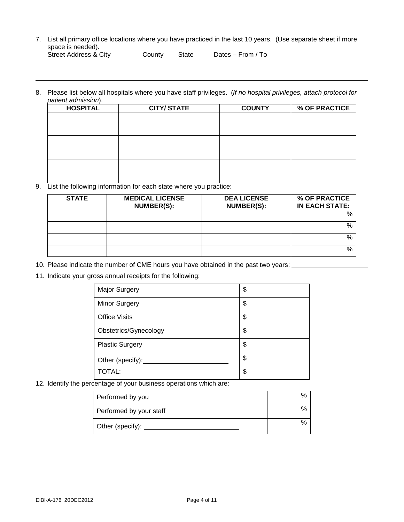7. List all primary office locations where you have practiced in the last 10 years. (Use separate sheet if more space is needed). Street Address & City County State Dates – From / To

 

8. Please list below all hospitals where you have staff privileges. (*If no hospital privileges, attach protocol for patient admission*).

| <b>CITY/STATE</b> | <b>COUNTY</b> | % OF PRACTICE |
|-------------------|---------------|---------------|
|                   |               |               |
|                   |               |               |
|                   |               |               |
|                   |               |               |
|                   |               |               |
|                   |               |               |
|                   |               |               |
|                   |               |               |
|                   |               |               |

9. List the following information for each state where you practice:

| <b>STATE</b> | <b>MEDICAL LICENSE</b><br>NUMBER(S): | <b>DEA LICENSE</b><br>NUMBER(S): | % OF PRACTICE<br><b>IN EACH STATE:</b> |
|--------------|--------------------------------------|----------------------------------|----------------------------------------|
|              |                                      |                                  | $\%$                                   |
|              |                                      |                                  | %                                      |
|              |                                      |                                  | %                                      |
|              |                                      |                                  | %                                      |

- 10. Please indicate the number of CME hours you have obtained in the past two years:
- 11. Indicate your gross annual receipts for the following:

| Major Surgery          | \$ |
|------------------------|----|
| Minor Surgery          | \$ |
| <b>Office Visits</b>   | \$ |
| Obstetrics/Gynecology  | \$ |
| <b>Plastic Surgery</b> | \$ |
| Other (specify):       | \$ |
| <b>TOTAL:</b>          | \$ |

12. Identify the percentage of your business operations which are:

| Performed by you        | ℅ |
|-------------------------|---|
| Performed by your staff | % |
| Other (specify):        | % |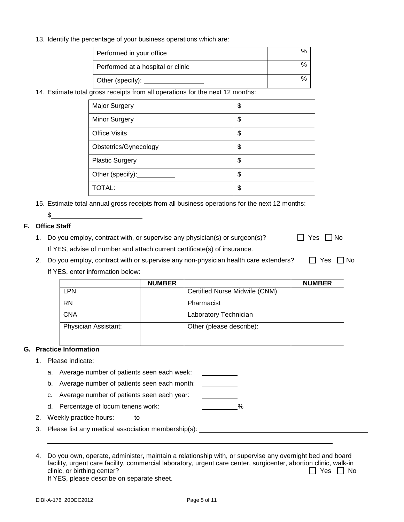13. Identify the percentage of your business operations which are:

| Performed in your office          |  |
|-----------------------------------|--|
| Performed at a hospital or clinic |  |
| Other (specify):                  |  |

14. Estimate total gross receipts from all operations for the next 12 months:

| <b>Major Surgery</b>   | \$ |
|------------------------|----|
| <b>Minor Surgery</b>   | \$ |
| <b>Office Visits</b>   | \$ |
| Obstetrics/Gynecology  | \$ |
| <b>Plastic Surgery</b> | \$ |
| Other (specify):       | \$ |
| TOTAL:                 | \$ |

15. Estimate total annual gross receipts from all business operations for the next 12 months:

# $\mathbb S$

# **F. Office Staff**

- 1. Do you employ, contract with, or supervise any physician(s) or surgeon(s)?  $\Box$  Yes  $\Box$  No If YES, advise of number and attach current certificate(s) of insurance.
- 2. Do you employ, contract with or supervise any non-physician health care extenders?  $\Box$  Yes  $\Box$  No If YES, enter information below:

|                      | <b>NUMBER</b> |                               | <b>NUMBER</b> |
|----------------------|---------------|-------------------------------|---------------|
| LPN                  |               | Certified Nurse Midwife (CNM) |               |
| <b>RN</b>            |               | Pharmacist                    |               |
| CNA                  |               | Laboratory Technician         |               |
| Physician Assistant: |               | Other (please describe):      |               |

# **G. Practice Information**

### 1. Please indicate:

- a. Average number of patients seen each week:
- b. Average number of patients seen each month:
- c. Average number of patients seen each year:
- d. Percentage of locum tenens work:  $\%$
- 2. Weekly practice hours: \_\_\_\_ to \_\_\_\_\_\_
- 3. Please list any medical association membership(s):

4. Do you own, operate, administer, maintain a relationship with, or supervise any overnight bed and board facility, urgent care facility, commercial laboratory, urgent care center, surgicenter, abortion clinic, walk-in clinic, or birthing center?  $\Box$  Yes  $\Box$  No

If YES, please describe on separate sheet.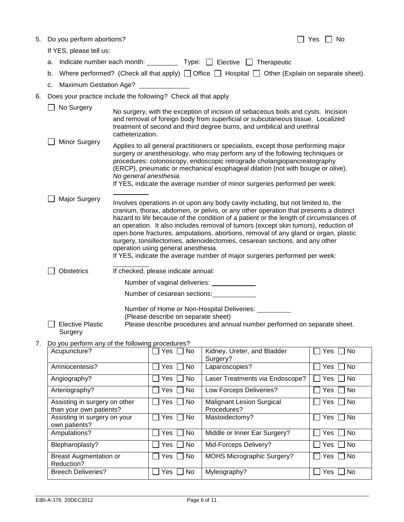| 5. |  | Do you perform abortions? |
|----|--|---------------------------|
|    |  |                           |

If YES, please tell us:

| a. Indicate number each month: |  |  | Type: $\Box$ Elective $\Box$ Therapeutic |
|--------------------------------|--|--|------------------------------------------|
|--------------------------------|--|--|------------------------------------------|

- b. Where performed? (Check all that apply)  $\Box$  Office  $\Box$  Hospital  $\Box$  Other (Explain on separate sheet).
- c. Maximum Gestation Age?
- 6. Does your practice include the following? Check all that apply

|    | No Surgery                                      | catheterization.                                                                                                                                                                                                                                                                                                                                                                                                                          |                                     | No surgery, with the exception of incision of sebaceous boils and cysts. Incision<br>and removal of foreign body from superficial or subcutaneous tissue. Localized<br>treatment of second and third degree burns, and umbilical and urethral                                                                                                                                                                                                                                                                                                                                                                  |                  |
|----|-------------------------------------------------|-------------------------------------------------------------------------------------------------------------------------------------------------------------------------------------------------------------------------------------------------------------------------------------------------------------------------------------------------------------------------------------------------------------------------------------------|-------------------------------------|----------------------------------------------------------------------------------------------------------------------------------------------------------------------------------------------------------------------------------------------------------------------------------------------------------------------------------------------------------------------------------------------------------------------------------------------------------------------------------------------------------------------------------------------------------------------------------------------------------------|------------------|
|    | Minor Surgery                                   | Applies to all general practitioners or specialists, except those performing major<br>surgery or anesthesiology, who may perform any of the following techniques or<br>procedures: colonoscopy, endoscopic retrograde cholangiopancreatography<br>(ERCP), pneumatic or mechanical esophageal dilation (not with bougie or olive).<br>No general anesthesia.<br>If YES, indicate the average number of minor surgeries performed per week: |                                     |                                                                                                                                                                                                                                                                                                                                                                                                                                                                                                                                                                                                                |                  |
|    | <b>Major Surgery</b>                            |                                                                                                                                                                                                                                                                                                                                                                                                                                           | operation using general anesthesia. | Involves operations in or upon any body cavity including, but not limited to, the<br>cranium, thorax, abdomen, or pelvis, or any other operation that presents a distinct<br>hazard to life because of the condition of a patient or the length of circumstances of<br>an operation. It also includes removal of tumors (except skin tumors), reduction of<br>open bone fractures, amputations, abortions, removal of any gland or organ, plastic<br>surgery, tonsillectomies, adenoidectomies, cesarean sections, and any other<br>If YES, indicate the average number of major surgeries performed per week: |                  |
|    | <b>Obstetrics</b>                               |                                                                                                                                                                                                                                                                                                                                                                                                                                           | If checked, please indicate annual: |                                                                                                                                                                                                                                                                                                                                                                                                                                                                                                                                                                                                                |                  |
|    |                                                 |                                                                                                                                                                                                                                                                                                                                                                                                                                           | Number of vaginal deliveries:       |                                                                                                                                                                                                                                                                                                                                                                                                                                                                                                                                                                                                                |                  |
|    |                                                 |                                                                                                                                                                                                                                                                                                                                                                                                                                           | Number of cesarean sections:        |                                                                                                                                                                                                                                                                                                                                                                                                                                                                                                                                                                                                                |                  |
|    | <b>Elective Plastic</b><br>Surgery              |                                                                                                                                                                                                                                                                                                                                                                                                                                           | (Please describe on separate sheet) | Number of Home or Non-Hospital Deliveries:<br>Please describe procedures and annual number performed on separate sheet.                                                                                                                                                                                                                                                                                                                                                                                                                                                                                        |                  |
| 7. | Do you perform any of the following procedures? |                                                                                                                                                                                                                                                                                                                                                                                                                                           |                                     |                                                                                                                                                                                                                                                                                                                                                                                                                                                                                                                                                                                                                |                  |
|    | Acupuncture?                                    |                                                                                                                                                                                                                                                                                                                                                                                                                                           | Yes<br>No                           | Kidney, Ureter, and Bladder<br>Surgery?                                                                                                                                                                                                                                                                                                                                                                                                                                                                                                                                                                        | Yes<br><b>No</b> |
|    | Amniocentesis?                                  |                                                                                                                                                                                                                                                                                                                                                                                                                                           | No<br>Yes                           | Laparoscopies?                                                                                                                                                                                                                                                                                                                                                                                                                                                                                                                                                                                                 | Yes<br>No        |
|    |                                                 |                                                                                                                                                                                                                                                                                                                                                                                                                                           |                                     |                                                                                                                                                                                                                                                                                                                                                                                                                                                                                                                                                                                                                |                  |

| Amniocentesis?                                           | Yes     No                 | Laparoscopies?                                  | Yes  <br>No.       |
|----------------------------------------------------------|----------------------------|-------------------------------------------------|--------------------|
| Angiography?                                             | $\Box$ No<br>Yes           | Laser Treatments via Endoscope?                 | No<br>Yes          |
| Arteriography?                                           | No<br>Yes                  | Low Forceps Deliveries?                         | Yes<br>No          |
| Assisting in surgery on other<br>than your own patients? | ∣ No<br>Yes                | <b>Malignant Lesion Surgical</b><br>Procedures? | No<br>Yes l        |
| Assisting in surgery on your<br>own patients?            | No<br>Yes                  | Mastoidectomy?                                  | <b>No</b><br>Yes I |
| Amputations?                                             | $\vert$ $\vert$ No<br>Yes. | Middle or Inner Ear Surgery?                    | No.<br>Yes         |
| Blepharoplasty?                                          | No<br>Yes                  | Mid-Forceps Delivery?                           | No<br>Yes.         |
| <b>Breast Augmentation or</b><br>Reduction?              | Yes<br>  No                | <b>MOHS Micrographic Surgery?</b>               | Yes  <br>No        |
| <b>Breech Deliveries?</b>                                | <b>No</b><br>Yes           | Myleography?                                    | No.<br>Yes         |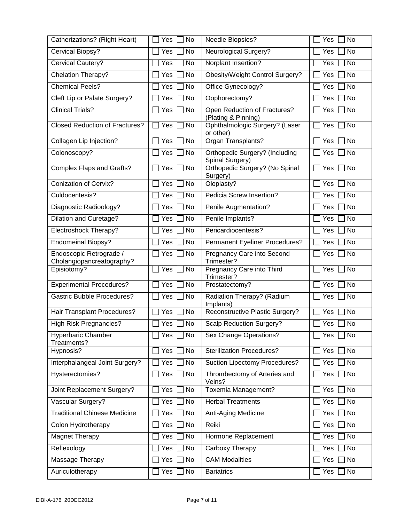| Catherizations? (Right Heart)                        | Yes<br>No | Needle Biopsies?                                         | <b>No</b><br>Yes    |
|------------------------------------------------------|-----------|----------------------------------------------------------|---------------------|
| Cervical Biopsy?                                     | Yes<br>No | <b>Neurological Surgery?</b>                             | No<br>Yes           |
| Cervical Cautery?                                    | Yes<br>No | Norplant Insertion?                                      | <b>No</b><br>Yes    |
| Chelation Therapy?                                   | No<br>Yes | Obesity/Weight Control Surgery?                          | No<br>Yes           |
| <b>Chemical Peels?</b>                               | Yes<br>No | Office Gynecology?                                       | Yes<br>No           |
| Cleft Lip or Palate Surgery?                         | No<br>Yes | Oophorectomy?                                            | <b>No</b><br>Yes    |
| <b>Clinical Trials?</b>                              | Yes<br>No | Open Reduction of Fractures?<br>(Plating & Pinning)      | No<br>Yes           |
| <b>Closed Reduction of Fractures?</b>                | Yes<br>No | Ophthalmologic Surgery? (Laser<br>or other)              | No<br>Yes           |
| Collagen Lip Injection?                              | No<br>Yes | Organ Transplants?                                       | <b>No</b><br>Yes    |
| Colonoscopy?                                         | Yes<br>No | <b>Orthopedic Surgery? (Including</b><br>Spinal Surgery) | <b>No</b><br>Yes    |
| <b>Complex Flaps and Grafts?</b>                     | Yes<br>No | Orthopedic Surgery? (No Spinal<br>Surgery)               | <b>No</b><br>Yes    |
| <b>Conization of Cervix?</b>                         | Yes<br>No | Oloplasty?                                               | No<br>Yes           |
| Culdocentesis?                                       | Yes<br>No | Pedicia Screw Insertion?                                 | No<br>Yes           |
| Diagnostic Radioology?                               | Yes<br>No | Penile Augmentation?                                     | No<br>Yes           |
| <b>Dilation and Curetage?</b>                        | Yes<br>No | Penile Implants?                                         | <b>No</b><br>Yes    |
| Electroshock Therapy?                                | Yes<br>No | Pericardiocentesis?                                      | No<br>Yes           |
| <b>Endomeinal Biopsy?</b>                            | Yes<br>No | Permanent Eyeliner Procedures?                           | No<br>Yes           |
| Endoscopic Retrograde /<br>Cholangiopancreatography? | Yes<br>No | Pregnancy Care into Second<br>Trimester?                 | No<br>Yes           |
| Episiotomy?                                          | Yes<br>No | Pregnancy Care into Third<br>Trimester?                  | <b>No</b><br>Yes    |
| <b>Experimental Procedures?</b>                      | No<br>Yes | Prostatectomy?                                           | <b>No</b><br>Yes    |
| <b>Gastric Bubble Procedures?</b>                    | Yes<br>No | Radiation Therapy? (Radium<br>Implants)                  | Yes<br><b>No</b>    |
| <b>Hair Transplant Procedures?</b>                   | Yes<br>No | Reconstructive Plastic Surgery?                          | <b>No</b><br>Yes    |
| <b>High Risk Pregnancies?</b>                        | No<br>Yes | Scalp Reduction Surgery?                                 | No<br>Yes           |
| <b>Hyperbaric Chamber</b><br>Treatments?             | No<br>Yes | Sex Change Operations?                                   | No<br>Yes $\lfloor$ |
| Hypnosis?                                            | No<br>Yes | <b>Sterilization Procedures?</b>                         | No<br>Yes           |
| Interphalangeal Joint Surgery?                       | Yes<br>No | Suction Lipectomy Procedures?                            | No<br>Yes           |
| Hysterectomies?                                      | Yes<br>No | Thrombectomy of Arteries and<br>Veins?                   | <b>No</b><br>Yes    |
| Joint Replacement Surgery?                           | Yes<br>No | Toxemia Management?                                      | <b>No</b><br>Yes    |
| Vascular Surgery?                                    | Yes<br>No | <b>Herbal Treatments</b>                                 | Yes<br>No           |
| <b>Traditional Chinese Medicine</b>                  | Yes<br>No | Anti-Aging Medicine                                      | Yes<br>No           |
| Colon Hydrotherapy                                   | Yes<br>No | Reiki                                                    | Yes<br>No           |
| <b>Magnet Therapy</b>                                | Yes<br>No | Hormone Replacement                                      | No<br>Yes           |
| Reflexology                                          | Yes<br>No | Carboxy Therapy                                          | No<br>Yes           |
| Massage Therapy                                      | Yes<br>No | <b>CAM Modalities</b>                                    | No<br>Yes           |
| Auriculotherapy                                      | Yes<br>No | <b>Bariatrics</b>                                        | Yes<br>No           |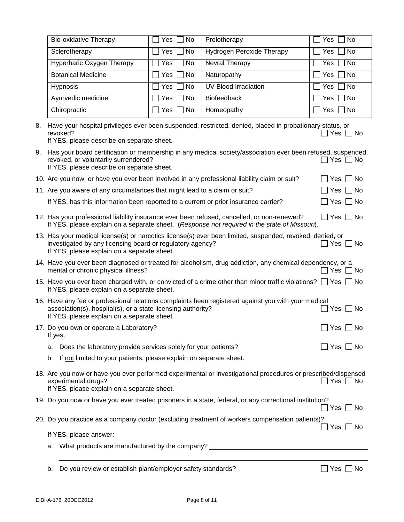| <b>Bio-oxidative Therapy</b> | Yes    <br>l Nol     | Prolotherapy                     | Yes I<br>l No                   |
|------------------------------|----------------------|----------------------------------|---------------------------------|
| Sclerotherapy                | Yes<br>  No          | <b>Hydrogen Peroxide Therapy</b> | Yes [<br>∣No                    |
| Hyperbaric Oxygen Therapy    | $\Box$ Yes $\Box$ No | Nevral Therapy                   | Yes     No                      |
| <b>Botanical Medicine</b>    | Yes $\Box$ No        | Naturopathy                      | Yes $\Box$ No                   |
| Hypnosis                     | Yes  <br>  No        | UV Blood Irradiation             | Yes [<br>∣No                    |
| Ayurvedic medicine           | Yes    No            | <b>Biofeedback</b>               | Yes     No                      |
| Chiropractic                 | Yes $\Box$ No        | Homeopathy                       | Yes  <br>l No<br>$\blacksquare$ |

| revoked?<br>If YES, please describe on separate sheet.                                                                                                                                               | $\Box$ Yes $\Box$ No |
|------------------------------------------------------------------------------------------------------------------------------------------------------------------------------------------------------|----------------------|
| 9. Has your board certification or membership in any medical society/association ever been refused, suspended,<br>revoked, or voluntarily surrendered?<br>If YES, please describe on separate sheet. | $\Box$ Yes $\Box$ No |

| 10. Are you now, or have you ever been involved in any professional liability claim or suit? | $\Box$ Yes $\Box$ No |
|----------------------------------------------------------------------------------------------|----------------------|
| 11. Are you aware of any circumstances that might lead to a claim or suit?                   | $\Box$ Yes $\Box$ No |
| If YES, has this information been reported to a current or prior insurance carrier?          | $\Box$ Yes $\Box$ No |

| 12. Has your professional liability insurance ever been refused, cancelled, or non-renewed?   | $\Box$ Yes $\Box$ No |
|-----------------------------------------------------------------------------------------------|----------------------|
| If YES, please explain on a separate sheet. (Response not required in the state of Missouri). |                      |

| 13. Has your medical license(s) or narcotics license(s) ever been limited, suspended, revoked, denied, or |           |
|-----------------------------------------------------------------------------------------------------------|-----------|
| investigated by any licensing board or regulatory agency?                                                 | Yes   ∣No |
| If YES, please explain on a separate sheet.                                                               |           |

| 14. Have you ever been diagnosed or treated for alcoholism, drug addiction, any chemical dependency, or a |                      |
|-----------------------------------------------------------------------------------------------------------|----------------------|
| mental or chronic physical illness?                                                                       | $\Box$ Yes $\Box$ No |

| 15. Have you ever been charged with, or convicted of a crime other than minor traffic violations? $\Box$ Yes $\Box$ No |  |
|------------------------------------------------------------------------------------------------------------------------|--|
| If YES, please explain on a separate sheet.                                                                            |  |

| 16. Have any fee or professional relations complaints been registered against you with your medical |                      |
|-----------------------------------------------------------------------------------------------------|----------------------|
| association(s), hospital(s), or a state licensing authority?                                        | $\Box$ Yes $\Box$ No |
| If YES, please explain on a separate sheet.                                                         |                      |

| 17. Do you own or operate a Laboratory? |  |
|-----------------------------------------|--|
| If yes,                                 |  |

|  |  |  | a. Does the laboratory provide services solely for your patients? |  |
|--|--|--|-------------------------------------------------------------------|--|
|--|--|--|-------------------------------------------------------------------|--|

|  |  |  |  | b. If not limited to your patients, please explain on separate sheet. |
|--|--|--|--|-----------------------------------------------------------------------|
|--|--|--|--|-----------------------------------------------------------------------|

| 18. Are you now or have you ever performed experimental or investigational procedures or prescribed/dispensed |          |
|---------------------------------------------------------------------------------------------------------------|----------|
| experimental drugs?                                                                                           | Yes   No |
| If YES, please explain on a separate sheet.                                                                   |          |

| 19. Do you now or have you ever treated prisoners in a state, federal, or any correctional institution? |                      |
|---------------------------------------------------------------------------------------------------------|----------------------|
|                                                                                                         | $\Box$ Yes $\Box$ No |

20. Do you practice as a company doctor (excluding treatment of workers compensation patients)?  $\Box$  Yes  $\Box$  No

| If YES, please answer:                            |  |
|---------------------------------------------------|--|
| a. What products are manufactured by the company? |  |
|                                                   |  |
|                                                   |  |

b. Do you review or establish plant/employer safety standards?  $\Box$  Yes  $\Box$  No

 $\Box$  Yes  $\Box$  No

 $\Box$  Yes  $\Box$  No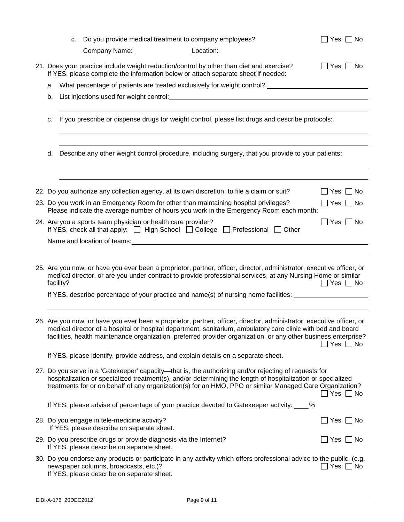|    |           | c. Do you provide medical treatment to company employees?                                                       |                                                                                                                                                                                                                                                                                                                                                          | $\Box$ Yes $\Box$ No |
|----|-----------|-----------------------------------------------------------------------------------------------------------------|----------------------------------------------------------------------------------------------------------------------------------------------------------------------------------------------------------------------------------------------------------------------------------------------------------------------------------------------------------|----------------------|
|    |           | Company Name: ________________________ Location: ________________                                               |                                                                                                                                                                                                                                                                                                                                                          |                      |
|    |           |                                                                                                                 | 21. Does your practice include weight reduction/control by other than diet and exercise?<br>If YES, please complete the information below or attach separate sheet if needed:                                                                                                                                                                            | $\Box$ Yes $\Box$ No |
| а. |           |                                                                                                                 | What percentage of patients are treated exclusively for weight control? _______________                                                                                                                                                                                                                                                                  |                      |
| b. |           |                                                                                                                 |                                                                                                                                                                                                                                                                                                                                                          |                      |
|    |           |                                                                                                                 |                                                                                                                                                                                                                                                                                                                                                          |                      |
| с. |           |                                                                                                                 | If you prescribe or dispense drugs for weight control, please list drugs and describe protocols:                                                                                                                                                                                                                                                         |                      |
| d. |           |                                                                                                                 | Describe any other weight control procedure, including surgery, that you provide to your patients:                                                                                                                                                                                                                                                       |                      |
|    |           |                                                                                                                 |                                                                                                                                                                                                                                                                                                                                                          |                      |
|    |           |                                                                                                                 | 22. Do you authorize any collection agency, at its own discretion, to file a claim or suit?                                                                                                                                                                                                                                                              | $\Box$ Yes $\Box$ No |
|    |           |                                                                                                                 | 23. Do you work in an Emergency Room for other than maintaining hospital privileges?<br>Please indicate the average number of hours you work in the Emergency Room each month:                                                                                                                                                                           | $\Box$ Yes $\Box$ No |
|    |           | 24. Are you a sports team physician or health care provider?                                                    | If YES, check all that apply: □ High School □ College □ Professional □ Other                                                                                                                                                                                                                                                                             | $\Box$ Yes $\Box$ No |
|    |           | Name and location of teams: Name and Location of teams:                                                         |                                                                                                                                                                                                                                                                                                                                                          |                      |
|    |           |                                                                                                                 |                                                                                                                                                                                                                                                                                                                                                          |                      |
|    | facility? |                                                                                                                 | 25. Are you now, or have you ever been a proprietor, partner, officer, director, administrator, executive officer, or<br>medical director, or are you under contract to provide professional services, at any Nursing Home or similar                                                                                                                    | $\Box$ Yes $\Box$ No |
|    |           |                                                                                                                 | If YES, describe percentage of your practice and name(s) of nursing home facilities:                                                                                                                                                                                                                                                                     |                      |
|    |           |                                                                                                                 |                                                                                                                                                                                                                                                                                                                                                          |                      |
|    |           |                                                                                                                 | 26. Are you now, or have you ever been a proprietor, partner, officer, director, administrator, executive officer, or<br>medical director of a hospital or hospital department, sanitarium, ambulatory care clinic with bed and board<br>facilities, health maintenance organization, preferred provider organization, or any other business enterprise? |                      |
|    |           |                                                                                                                 | If YES, please identify, provide address, and explain details on a separate sheet.                                                                                                                                                                                                                                                                       |                      |
|    |           |                                                                                                                 | 27. Do you serve in a 'Gatekeeper' capacity—that is, the authorizing and/or rejecting of requests for<br>hospitalization or specialized treatment(s), and/or determining the length of hospitalization or specialized<br>treatments for or on behalf of any organization(s) for an HMO, PPO or similar Managed Care Organization?                        | $\Box$ Yes $\Box$ No |
|    |           |                                                                                                                 | If YES, please advise of percentage of your practice devoted to Gatekeeper activity: ____%                                                                                                                                                                                                                                                               |                      |
|    |           | 28. Do you engage in tele-medicine activity?<br>If YES, please describe on separate sheet.                      |                                                                                                                                                                                                                                                                                                                                                          | $\Box$ Yes $\Box$ No |
|    |           | 29. Do you prescribe drugs or provide diagnosis via the Internet?<br>If YES, please describe on separate sheet. |                                                                                                                                                                                                                                                                                                                                                          | $\Box$ Yes $\Box$ No |
|    |           | newspaper columns, broadcasts, etc.)?<br>If YES, please describe on separate sheet.                             | 30. Do you endorse any products or participate in any activity which offers professional advice to the public, (e.g.                                                                                                                                                                                                                                     | $\Box$ Yes $\Box$ No |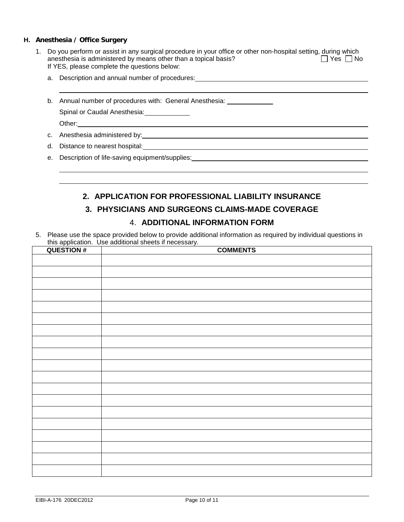#### **H. Anesthesia / Office Surgery**

- 1. Do you perform or assist in any surgical procedure in your office or other non-hospital setting, during which<br>anesthesia is administered by means other than a topical basis? anesthesia is administered by means other than a topical basis? If YES, please complete the questions below:
	- a. Description and annual number of procedures:

b. Annual number of procedures with: General Anesthesia: \_\_\_\_\_\_\_\_\_\_\_\_\_\_

Spinal or Caudal Anesthesia:

Other:

 

c. Anesthesia administered by:

d. Distance to nearest hospital:

e. Description of life-saving equipment/supplies:

# **2. APPLICATION FOR PROFESSIONAL LIABILITY INSURANCE**

# **3. PHYSICIANS AND SURGEONS CLAIMS-MADE COVERAGE**

# 4. **ADDITIONAL INFORMATION FORM**

5. Please use the space provided below to provide additional information as required by individual questions in this application. Use additional sheets if necessary.

| <b>QUESTION#</b> | <b>COMMENTS</b> |
|------------------|-----------------|
|                  |                 |
|                  |                 |
|                  |                 |
|                  |                 |
|                  |                 |
|                  |                 |
|                  |                 |
|                  |                 |
|                  |                 |
|                  |                 |
|                  |                 |
|                  |                 |
|                  |                 |
|                  |                 |
|                  |                 |
|                  |                 |
|                  |                 |
|                  |                 |
|                  |                 |